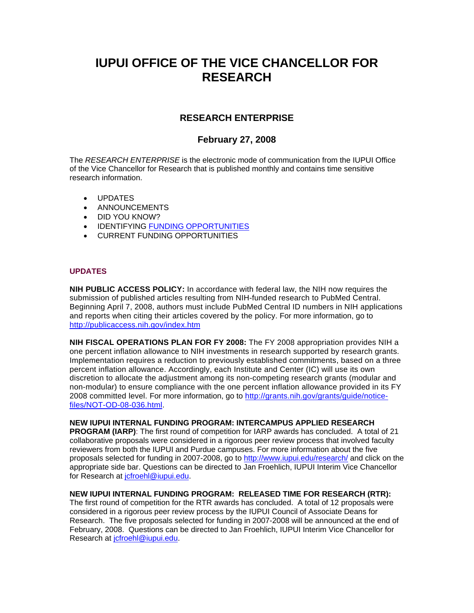# **IUPUI OFFICE OF THE VICE CHANCELLOR FOR RESEARCH**

# **RESEARCH ENTERPRISE**

# **February 27, 2008**

The *RESEARCH ENTERPRISE* is the electronic mode of communication from the IUPUI Office of the Vice Chancellor for Research that is published monthly and contains time sensitive research information.

- UPDATES
- ANNOUNCEMENTS
- DID YOU KNOW?
- IDENTIFYING FUNDING OPPORTUNITIES
- CURRENT FUNDING OPPORTUNITIES

#### **UPDATES**

**NIH PUBLIC ACCESS POLICY:** In accordance with federal law, the NIH now requires the submission of published articles resulting from NIH-funded research to PubMed Central. Beginning April 7, 2008, authors must include PubMed Central ID numbers in NIH applications and reports when citing their articles covered by the policy. For more information, go to http://publicaccess.nih.gov/index.htm

**NIH FISCAL OPERATIONS PLAN FOR FY 2008:** The FY 2008 appropriation provides NIH a one percent inflation allowance to NIH investments in research supported by research grants. Implementation requires a reduction to previously established commitments, based on a three percent inflation allowance. Accordingly, each Institute and Center (IC) will use its own discretion to allocate the adjustment among its non-competing research grants (modular and non-modular) to ensure compliance with the one percent inflation allowance provided in its FY 2008 committed level. For more information, go to http://grants.nih.gov/grants/guide/noticefiles/NOT-OD-08-036.html.

**NEW IUPUI INTERNAL FUNDING PROGRAM: INTERCAMPUS APPLIED RESEARCH PROGRAM (IARP)**: The first round of competition for IARP awards has concluded. A total of 21 collaborative proposals were considered in a rigorous peer review process that involved faculty reviewers from both the IUPUI and Purdue campuses. For more information about the five proposals selected for funding in 2007-2008, go to http://www.iupui.edu/research/ and click on the appropriate side bar. Questions can be directed to Jan Froehlich, IUPUI Interim Vice Chancellor for Research at jcfroehl@iupui.edu.

### **NEW IUPUI INTERNAL FUNDING PROGRAM: RELEASED TIME FOR RESEARCH (RTR):**

The first round of competition for the RTR awards has concluded. A total of 12 proposals were considered in a rigorous peer review process by the IUPUI Council of Associate Deans for Research. The five proposals selected for funding in 2007-2008 will be announced at the end of February, 2008. Questions can be directed to Jan Froehlich, IUPUI Interim Vice Chancellor for Research at jcfroehl@iupui.edu.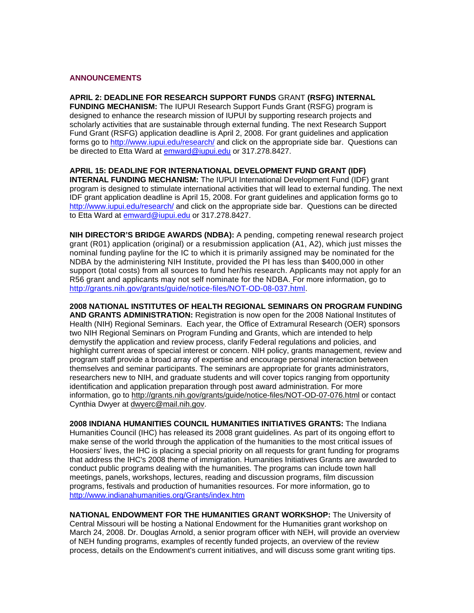#### **ANNOUNCEMENTS**

**APRIL 2: DEADLINE FOR RESEARCH SUPPORT FUNDS** GRANT **(RSFG) INTERNAL FUNDING MECHANISM:** The IUPUI Research Support Funds Grant (RSFG) program is designed to enhance the research mission of IUPUI by supporting research projects and scholarly activities that are sustainable through external funding. The next Research Support Fund Grant (RSFG) application deadline is April 2, 2008. For grant guidelines and application forms go to http://www.iupui.edu/research/ and click on the appropriate side bar. Questions can be directed to Etta Ward at emward@iupui.edu or 317.278.8427.

**APRIL 15: DEADLINE FOR INTERNATIONAL DEVELOPMENT FUND GRANT (IDF) INTERNAL FUNDING MECHANISM:** The IUPUI International Development Fund (IDF) grant program is designed to stimulate international activities that will lead to external funding. The next IDF grant application deadline is April 15, 2008. For grant guidelines and application forms go to http://www.iupui.edu/research/ and click on the appropriate side bar. Questions can be directed to Etta Ward at emward@iupui.edu or 317.278.8427.

**NIH DIRECTOR'S BRIDGE AWARDS (NDBA):** A pending, competing renewal research project grant (R01) application (original) or a resubmission application (A1, A2), which just misses the nominal funding payline for the IC to which it is primarily assigned may be nominated for the NDBA by the administering NIH Institute, provided the PI has less than \$400,000 in other support (total costs) from all sources to fund her/his research. Applicants may not apply for an R56 grant and applicants may not self nominate for the NDBA. For more information, go to http://grants.nih.gov/grants/guide/notice-files/NOT-OD-08-037.html.

**2008 NATIONAL INSTITUTES OF HEALTH REGIONAL SEMINARS ON PROGRAM FUNDING AND GRANTS ADMINISTRATION:** Registration is now open for the 2008 National Institutes of Health (NIH) Regional Seminars. Each year, the Office of Extramural Research (OER) sponsors two NIH Regional Seminars on Program Funding and Grants, which are intended to help demystify the application and review process, clarify Federal regulations and policies, and highlight current areas of special interest or concern. NIH policy, grants management, review and program staff provide a broad array of expertise and encourage personal interaction between themselves and seminar participants. The seminars are appropriate for grants administrators, researchers new to NIH, and graduate students and will cover topics ranging from opportunity identification and application preparation through post award administration. For more information, go to http://grants.nih.gov/grants/guide/notice-files/NOT-OD-07-076.html or contact Cynthia Dwyer at dwyerc@mail.nih.gov.

**2008 INDIANA HUMANITIES COUNCIL HUMANITIES INITIATIVES GRANTS:** The Indiana Humanities Council (IHC) has released its 2008 grant guidelines. As part of its ongoing effort to make sense of the world through the application of the humanities to the most critical issues of Hoosiers' lives, the IHC is placing a special priority on all requests for grant funding for programs that address the IHC's 2008 theme of immigration. Humanities Initiatives Grants are awarded to conduct public programs dealing with the humanities. The programs can include town hall meetings, panels, workshops, lectures, reading and discussion programs, film discussion programs, festivals and production of humanities resources. For more information, go to http://www.indianahumanities.org/Grants/index.htm

**NATIONAL ENDOWMENT FOR THE HUMANITIES GRANT WORKSHOP:** The University of Central Missouri will be hosting a National Endowment for the Humanities grant workshop on March 24, 2008. Dr. Douglas Arnold, a senior program officer with NEH, will provide an overview of NEH funding programs, examples of recently funded projects, an overview of the review process, details on the Endowment's current initiatives, and will discuss some grant writing tips.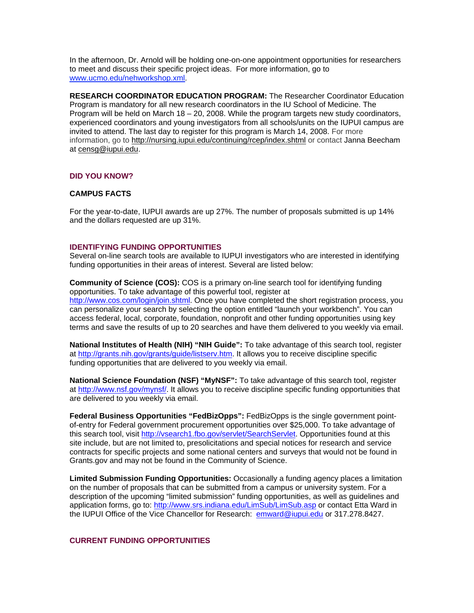In the afternoon, Dr. Arnold will be holding one-on-one appointment opportunities for researchers to meet and discuss their specific project ideas. For more information, go to www.ucmo.edu/nehworkshop.xml.

**RESEARCH COORDINATOR EDUCATION PROGRAM:** The Researcher Coordinator Education Program is mandatory for all new research coordinators in the IU School of Medicine. The Program will be held on March 18 – 20, 2008. While the program targets new study coordinators, experienced coordinators and young investigators from all schools/units on the IUPUI campus are invited to attend. The last day to register for this program is March 14, 2008. For more information, go to http://nursing.iupui.edu/continuing/rcep/index.shtml or contact Janna Beecham at censg@iupui.edu.

### **DID YOU KNOW?**

### **CAMPUS FACTS**

For the year-to-date, IUPUI awards are up 27%. The number of proposals submitted is up 14% and the dollars requested are up 31%.

#### **IDENTIFYING FUNDING OPPORTUNITIES**

Several on-line search tools are available to IUPUI investigators who are interested in identifying funding opportunities in their areas of interest. Several are listed below:

**Community of Science (COS):** COS is a primary on-line search tool for identifying funding opportunities. To take advantage of this powerful tool, register at http://www.cos.com/login/join.shtml. Once you have completed the short registration process, you can personalize your search by selecting the option entitled "launch your workbench". You can access federal, local, corporate, foundation, nonprofit and other funding opportunities using key terms and save the results of up to 20 searches and have them delivered to you weekly via email.

**National Institutes of Health (NIH) "NIH Guide":** To take advantage of this search tool, register at http://grants.nih.gov/grants/guide/listserv.htm. It allows you to receive discipline specific funding opportunities that are delivered to you weekly via email.

**National Science Foundation (NSF) "MyNSF":** To take advantage of this search tool, register at http://www.nsf.gov/mynsf/. It allows you to receive discipline specific funding opportunities that are delivered to you weekly via email.

**Federal Business Opportunities "FedBizOpps":** FedBizOpps is the single government pointof-entry for Federal government procurement opportunities over \$25,000. To take advantage of this search tool, visit http://vsearch1.fbo.gov/servlet/SearchServlet. Opportunities found at this site include, but are not limited to, presolicitations and special notices for research and service contracts for specific projects and some national centers and surveys that would not be found in Grants.gov and may not be found in the Community of Science.

**Limited Submission Funding Opportunities:** Occasionally a funding agency places a limitation on the number of proposals that can be submitted from a campus or university system. For a description of the upcoming "limited submission" funding opportunities, as well as guidelines and application forms, go to: http://www.srs.indiana.edu/LimSub/LimSub.asp or contact Etta Ward in the IUPUI Office of the Vice Chancellor for Research: emward@iupui.edu or 317.278.8427.

### **CURRENT FUNDING OPPORTUNITIES**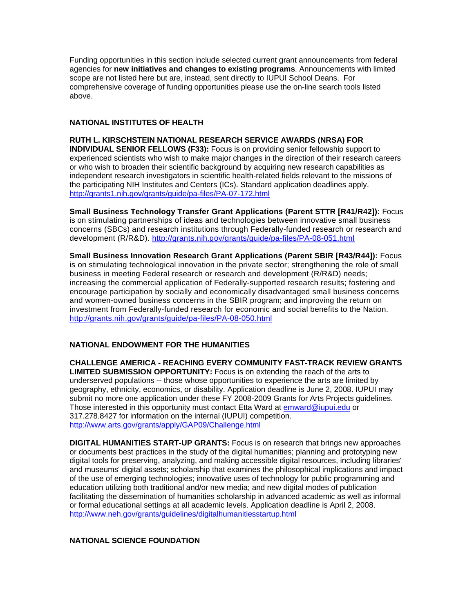Funding opportunities in this section include selected current grant announcements from federal agencies for **new initiatives and changes to existing programs**. Announcements with limited scope are not listed here but are, instead, sent directly to IUPUI School Deans. For comprehensive coverage of funding opportunities please use the on-line search tools listed above.

#### **NATIONAL INSTITUTES OF HEALTH**

**RUTH L. KIRSCHSTEIN NATIONAL RESEARCH SERVICE AWARDS (NRSA) FOR INDIVIDUAL SENIOR FELLOWS (F33):** Focus is on providing senior fellowship support to experienced scientists who wish to make major changes in the direction of their research careers or who wish to broaden their scientific background by acquiring new research capabilities as independent research investigators in scientific health-related fields relevant to the missions of the participating NIH Institutes and Centers (ICs). Standard application deadlines apply. http://grants1.nih.gov/grants/guide/pa-files/PA-07-172.html

**Small Business Technology Transfer Grant Applications (Parent STTR [R41/R42]):** Focus is on stimulating partnerships of ideas and technologies between innovative small business concerns (SBCs) and research institutions through Federally-funded research or research and development (R/R&D). http://grants.nih.gov/grants/guide/pa-files/PA-08-051.html

**Small Business Innovation Research Grant Applications (Parent SBIR [R43/R44]):** Focus is on stimulating technological innovation in the private sector; strengthening the role of small business in meeting Federal research or research and development (R/R&D) needs; increasing the commercial application of Federally-supported research results; fostering and encourage participation by socially and economically disadvantaged small business concerns and women-owned business concerns in the SBIR program; and improving the return on investment from Federally-funded research for economic and social benefits to the Nation. http://grants.nih.gov/grants/guide/pa-files/PA-08-050.html

#### **NATIONAL ENDOWMENT FOR THE HUMANITIES**

**CHALLENGE AMERICA - REACHING EVERY COMMUNITY FAST-TRACK REVIEW GRANTS LIMITED SUBMISSION OPPORTUNITY:** Focus is on extending the reach of the arts to underserved populations -- those whose opportunities to experience the arts are limited by geography, ethnicity, economics, or disability. Application deadline is June 2, 2008. IUPUI may submit no more one application under these FY 2008-2009 Grants for Arts Projects guidelines. Those interested in this opportunity must contact Etta Ward at **emward@iupui.edu** or 317.278.8427 for information on the internal (IUPUI) competition. http://www.arts.gov/grants/apply/GAP09/Challenge.html

**DIGITAL HUMANITIES START-UP GRANTS:** Focus is on research that brings new approaches or documents best practices in the study of the digital humanities; planning and prototyping new digital tools for preserving, analyzing, and making accessible digital resources, including libraries' and museums' digital assets; scholarship that examines the philosophical implications and impact of the use of emerging technologies; innovative uses of technology for public programming and education utilizing both traditional and/or new media; and new digital modes of publication facilitating the dissemination of humanities scholarship in advanced academic as well as informal or formal educational settings at all academic levels. Application deadline is April 2, 2008. http://www.neh.gov/grants/guidelines/digitalhumanitiesstartup.html

### **NATIONAL SCIENCE FOUNDATION**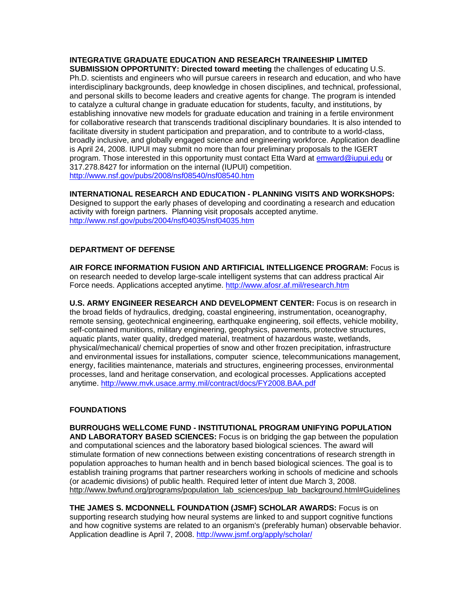### **INTEGRATIVE GRADUATE EDUCATION AND RESEARCH TRAINEESHIP LIMITED**

**SUBMISSION OPPORTUNITY: Directed toward meeting** the challenges of educating U.S. Ph.D. scientists and engineers who will pursue careers in research and education, and who have interdisciplinary backgrounds, deep knowledge in chosen disciplines, and technical, professional, and personal skills to become leaders and creative agents for change. The program is intended to catalyze a cultural change in graduate education for students, faculty, and institutions, by establishing innovative new models for graduate education and training in a fertile environment for collaborative research that transcends traditional disciplinary boundaries. It is also intended to facilitate diversity in student participation and preparation, and to contribute to a world-class, broadly inclusive, and globally engaged science and engineering workforce. Application deadline is April 24, 2008. IUPUI may submit no more than four preliminary proposals to the IGERT program. Those interested in this opportunity must contact Etta Ward at emward@iupui.edu or 317.278.8427 for information on the internal (IUPUI) competition. http://www.nsf.gov/pubs/2008/nsf08540/nsf08540.htm

#### **INTERNATIONAL RESEARCH AND EDUCATION - PLANNING VISITS AND WORKSHOPS:**  Designed to support the early phases of developing and coordinating a research and education activity with foreign partners. Planning visit proposals accepted anytime. http://www.nsf.gov/pubs/2004/nsf04035/nsf04035.htm

## **DEPARTMENT OF DEFENSE**

**AIR FORCE INFORMATION FUSION AND ARTIFICIAL INTELLIGENCE PROGRAM:** Focus is on research needed to develop large-scale intelligent systems that can address practical Air Force needs. Applications accepted anytime. http://www.afosr.af.mil/research.htm

**U.S. ARMY ENGINEER RESEARCH AND DEVELOPMENT CENTER:** Focus is on research in the broad fields of hydraulics, dredging, coastal engineering, instrumentation, oceanography, remote sensing, geotechnical engineering, earthquake engineering, soil effects, vehicle mobility, self-contained munitions, military engineering, geophysics, pavements, protective structures, aquatic plants, water quality, dredged material, treatment of hazardous waste, wetlands, physical/mechanical/ chemical properties of snow and other frozen precipitation, infrastructure and environmental issues for installations, computer science, telecommunications management, energy, facilities maintenance, materials and structures, engineering processes, environmental processes, land and heritage conservation, and ecological processes. Applications accepted anytime. http://www.mvk.usace.army.mil/contract/docs/FY2008.BAA.pdf

#### **FOUNDATIONS**

**BURROUGHS WELLCOME FUND - INSTITUTIONAL PROGRAM UNIFYING POPULATION AND LABORATORY BASED SCIENCES:** Focus is on bridging the gap between the population and computational sciences and the laboratory based biological sciences. The award will stimulate formation of new connections between existing concentrations of research strength in population approaches to human health and in bench based biological sciences. The goal is to establish training programs that partner researchers working in schools of medicine and schools (or academic divisions) of public health. Required letter of intent due March 3, 2008. http://www.bwfund.org/programs/population\_lab\_sciences/pup\_lab\_background.html#Guidelines

**THE JAMES S. MCDONNELL FOUNDATION (JSMF) SCHOLAR AWARDS:** Focus is on supporting research studying how neural systems are linked to and support cognitive functions and how cognitive systems are related to an organism's (preferably human) observable behavior. Application deadline is April 7, 2008. http://www.jsmf.org/apply/scholar/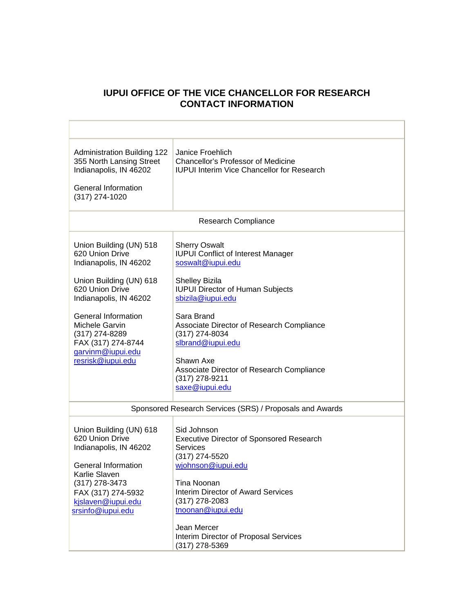# **IUPUI OFFICE OF THE VICE CHANCELLOR FOR RESEARCH CONTACT INFORMATION**

| <b>Administration Building 122</b><br>355 North Lansing Street<br>Indianapolis, IN 46202<br><b>General Information</b><br>(317) 274-1020                                                                                                                                       | Janice Froehlich<br><b>Chancellor's Professor of Medicine</b><br><b>IUPUI Interim Vice Chancellor for Research</b>                                                                                                                                                                                                                                                       |  |
|--------------------------------------------------------------------------------------------------------------------------------------------------------------------------------------------------------------------------------------------------------------------------------|--------------------------------------------------------------------------------------------------------------------------------------------------------------------------------------------------------------------------------------------------------------------------------------------------------------------------------------------------------------------------|--|
| <b>Research Compliance</b>                                                                                                                                                                                                                                                     |                                                                                                                                                                                                                                                                                                                                                                          |  |
| Union Building (UN) 518<br>620 Union Drive<br>Indianapolis, IN 46202<br>Union Building (UN) 618<br>620 Union Drive<br>Indianapolis, IN 46202<br><b>General Information</b><br>Michele Garvin<br>(317) 274-8289<br>FAX (317) 274-8744<br>garvinm@iupui.edu<br>resrisk@iupui.edu | <b>Sherry Oswalt</b><br><b>IUPUI Conflict of Interest Manager</b><br>soswalt@iupui.edu<br>Shelley Bizila<br><b>IUPUI Director of Human Subjects</b><br>sbizila@iupui.edu<br>Sara Brand<br>Associate Director of Research Compliance<br>(317) 274-8034<br>slbrand@iupui.edu<br>Shawn Axe<br>Associate Director of Research Compliance<br>(317) 278-9211<br>saxe@iupui.edu |  |
| Sponsored Research Services (SRS) / Proposals and Awards                                                                                                                                                                                                                       |                                                                                                                                                                                                                                                                                                                                                                          |  |
| Union Building (UN) 618<br>620 Union Drive<br>Indianapolis, IN 46202<br><b>General Information</b><br>Karlie Slaven<br>(317) 278-3473<br>FAX (317) 274-5932<br>kjslaven@iupui.edu<br>srsinfo@iupui.edu                                                                         | Sid Johnson<br><b>Executive Director of Sponsored Research</b><br>Services<br>(317) 274-5520<br>wjohnson@iupui.edu<br><b>Tina Noonan</b><br><b>Interim Director of Award Services</b><br>(317) 278-2083<br>tnoonan@iupui.edu<br>Jean Mercer                                                                                                                              |  |
|                                                                                                                                                                                                                                                                                | Interim Director of Proposal Services<br>(317) 278-5369                                                                                                                                                                                                                                                                                                                  |  |